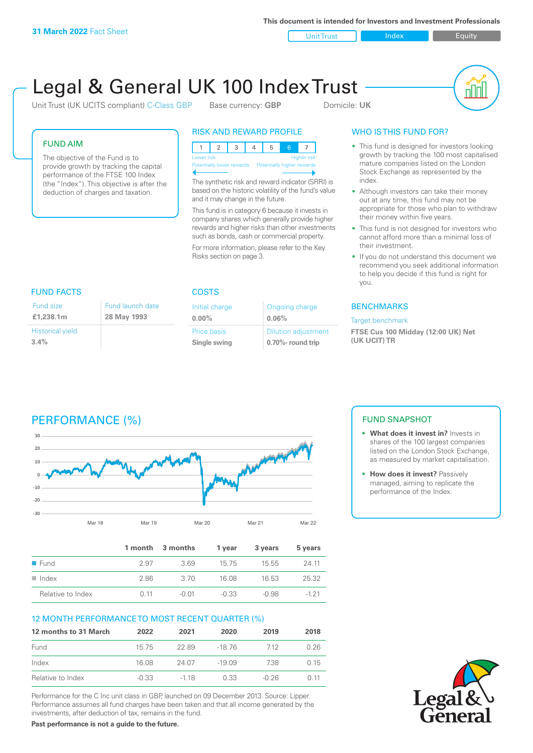**This document is intended for Investors and Investment Professionals**

Unit Trust Index I Equity

# Legal & General UK 100 Index Trust

Unit Trust (UK UCITS compliant) C-Class GBP Base currency: **GBP** Domicile: UK



#### FUND AIM

The objective of the Fund is to provide growth by tracking the capital performance of the FTSE 100 Index (the "Index"). This objective is after the deduction of charges and taxation.

### RISK AND REWARD PROFILE



The synthetic risk and reward indicator (SRRI) is based on the historic volatility of the fund's value and it may change in the future.

This fund is in category 6 because it invests in company shares which generally provide higher rewards and higher risks than other investments such as bonds, cash or commercial property.

For more information, please refer to the Key Risks section on page 3.

### WHO IS THIS FUND FOR?

- This fund is designed for investors looking growth by tracking the 100 most capitalised mature companies listed on the London Stock Exchange as represented by the index.
- Although investors can take their money out at any time, this fund may not be appropriate for those who plan to withdraw their money within five years.
- This fund is not designed for investors who cannot afford more than a minimal loss of their investment.
- If you do not understand this document we recommend you seek additional information to help you decide if this fund is right for you.

#### **BENCHMARKS**

#### Target benchmark

**FTSE Cus 100 Midday (12:00 UK) Net (UK UCIT) TR**

## FUND FACTS COSTS

| Fund size               | Fund launch date |
|-------------------------|------------------|
| £1,238.1m               | 28 May 1993      |
| <b>Historical yield</b> |                  |
| 3.4%                    |                  |

| Initial charge | Ongoing charge             |
|----------------|----------------------------|
| $0.00\%$       | 0.06%                      |
| Price basis    | <b>Dilution adjustment</b> |
| Single swing   | 0.70%- round trip          |

# PERFORMANCE (%)



|                      |      | 1 month 3 months | 1 vear  | 3 years | 5 years |
|----------------------|------|------------------|---------|---------|---------|
| $\blacksquare$ Fund  | 2.97 | 369              | 15.75   | 15.55   | 24 11   |
| $\blacksquare$ Index | 286  | -3.70            | 16.08   | 16.53   | 25.32   |
| Relative to Index    | O 11 | $-0.01$          | $-0.33$ | $-0.98$ | $-121$  |

#### 12 MONTH PERFORMANCE TO MOST RECENT QUARTER (%)

| 12 months to 31 March | 2022    | 2021   | 2020     | 2019  | 2018 |
|-----------------------|---------|--------|----------|-------|------|
| Fund                  | 15.75   | 22.89  | -18 76   | 712   | 0.26 |
| Index                 | 16.08   | 24.07  | $-19.09$ | 738   | 0.15 |
| Relative to Index     | $-0.33$ | $-118$ | 0.33     | -0.26 | O 11 |

Performance for the C Inc unit class in GBP, launched on 09 December 2013. Source: Lipper. Performance assumes all fund charges have been taken and that all income generated by the investments, after deduction of tax, remains in the fund.

**Past performance is not a guide to the future.**

#### FUND SNAPSHOT

- **• What does it invest in?** Invests in shares of the 100 largest companies listed on the London Stock Exchange, as measured by market capitalisation.
- **• How does it invest?** Passively managed, aiming to replicate the performance of the Index.

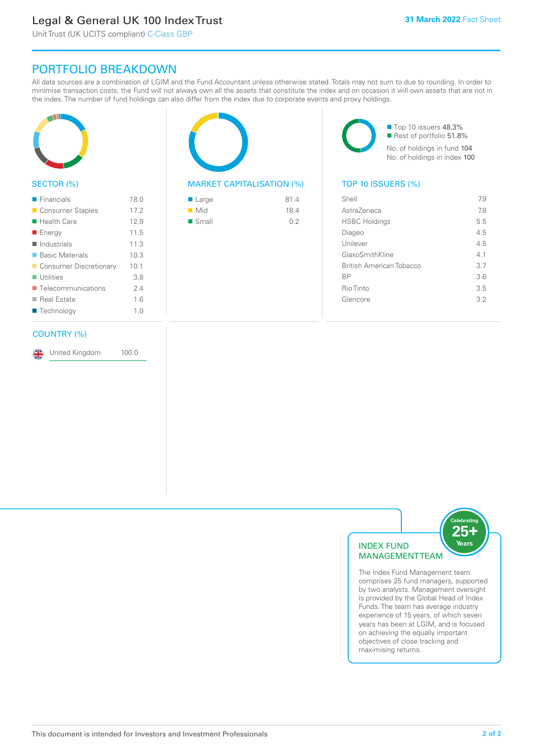# Legal & General UK 100 Index Trust

Unit Trust (UK UCITS compliant) C-Class GBP

# PORTFOLIO BREAKDOWN

All data sources are a combination of LGIM and the Fund Accountant unless otherwise stated. Totals may not sum to due to rounding. In order to minimise transaction costs, the Fund will not always own all the assets that constitute the index and on occasion it will own assets that are not in the index. The number of fund holdings can also differ from the index due to corporate events and proxy holdings.



#### SECTOR (%)

| $\blacksquare$ Financials         | 18.0 |
|-----------------------------------|------|
| ■ Consumer Staples                | 17.2 |
| ■ Health Care                     | 12.9 |
| ■ Energy                          | 11.5 |
| $\blacksquare$ Industrials        | 11.3 |
| ■ Basic Materials                 | 10.3 |
| Consumer Discretionary            | 10.1 |
| $\blacksquare$ Utilities          | 3.8  |
| $\blacksquare$ Telecommunications | 24   |
| ■ Real Estate                     | 1.6  |
| ■ Technology                      | 1.0  |
|                                   |      |

#### COUNTRY (%)

United Kingdom 100.0

#### MARKET CAPITALISATION (%) TOP 10 ISSUERS (%)

| ■ Large              | 81.4 |
|----------------------|------|
| $\blacksquare$ Mid   | 18.4 |
| $\blacksquare$ Small | 0.2  |

■ Top 10 issuers 48.3% Rest of portfolio 51.8% No. of holdings in fund 104 No. of holdings in index 100

| Shell                           | 7.9 |
|---------------------------------|-----|
| AstraZeneca                     | 78  |
| <b>HSBC Holdings</b>            | 5.5 |
| Diageo                          | 4.5 |
| Unilever                        | 4.5 |
| GlaxoSmithKline                 | 41  |
| <b>British American Tobacco</b> | 3.7 |
| <b>BP</b>                       | 3.6 |
| Rio Tinto                       | 3.5 |
| Glencore                        | 32  |
|                                 |     |



The Index Fund Management team comprises 25 fund managers, supported by two analysts. Management oversight is provided by the Global Head of Index Funds. The team has average industry experience of 15 years, of which seven years has been at LGIM, and is focused on achieving the equally important objectives of close tracking and maximising returns.